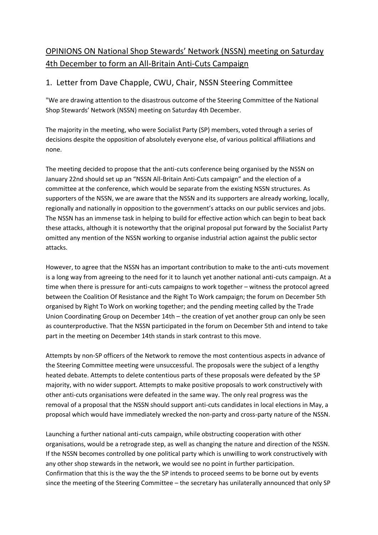## OPINIONS ON National Shop Stewards' Network (NSSN) meeting on Saturday 4th December to form an All-Britain Anti-Cuts Campaign

## 1. Letter from Dave Chapple, CWU, Chair, NSSN Steering Committee

"We are drawing attention to the disastrous outcome of the Steering Committee of the National Shop Stewards' Network (NSSN) meeting on Saturday 4th December.

The majority in the meeting, who were Socialist Party (SP) members, voted through a series of decisions despite the opposition of absolutely everyone else, of various political affiliations and none.

The meeting decided to propose that the anti-cuts conference being organised by the NSSN on January 22nd should set up an "NSSN All-Britain Anti-Cuts campaign" and the election of a committee at the conference, which would be separate from the existing NSSN structures. As supporters of the NSSN, we are aware that the NSSN and its supporters are already working, locally, regionally and nationally in opposition to the government's attacks on our public services and jobs. The NSSN has an immense task in helping to build for effective action which can begin to beat back these attacks, although it is noteworthy that the original proposal put forward by the Socialist Party omitted any mention of the NSSN working to organise industrial action against the public sector attacks.

However, to agree that the NSSN has an important contribution to make to the anti-cuts movement is a long way from agreeing to the need for it to launch yet another national anti-cuts campaign. At a time when there is pressure for anti-cuts campaigns to work together – witness the protocol agreed between the Coalition Of Resistance and the Right To Work campaign; the forum on December 5th organised by Right To Work on working together; and the pending meeting called by the Trade Union Coordinating Group on December 14th – the creation of yet another group can only be seen as counterproductive. That the NSSN participated in the forum on December 5th and intend to take part in the meeting on December 14th stands in stark contrast to this move.

Attempts by non-SP officers of the Network to remove the most contentious aspects in advance of the Steering Committee meeting were unsuccessful. The proposals were the subject of a lengthy heated debate. Attempts to delete contentious parts of these proposals were defeated by the SP majority, with no wider support. Attempts to make positive proposals to work constructively with other anti-cuts organisations were defeated in the same way. The only real progress was the removal of a proposal that the NSSN should support anti-cuts candidates in local elections in May, a proposal which would have immediately wrecked the non-party and cross-party nature of the NSSN.

Launching a further national anti-cuts campaign, while obstructing cooperation with other organisations, would be a retrograde step, as well as changing the nature and direction of the NSSN. If the NSSN becomes controlled by one political party which is unwilling to work constructively with any other shop stewards in the network, we would see no point in further participation. Confirmation that this is the way the the SP intends to proceed seems to be borne out by events since the meeting of the Steering Committee – the secretary has unilaterally announced that only SP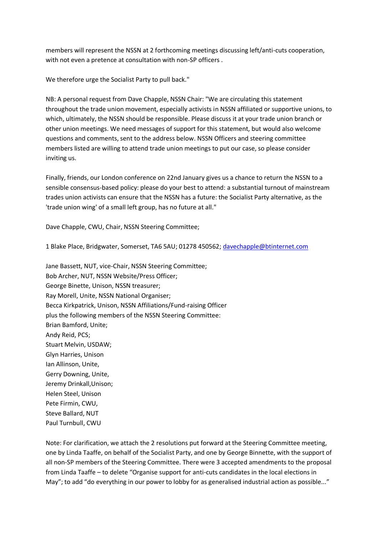members will represent the NSSN at 2 forthcoming meetings discussing left/anti-cuts cooperation, with not even a pretence at consultation with non-SP officers .

We therefore urge the Socialist Party to pull back."

NB: A personal request from Dave Chapple, NSSN Chair: "We are circulating this statement throughout the trade union movement, especially activists in NSSN affiliated or supportive unions, to which, ultimately, the NSSN should be responsible. Please discuss it at your trade union branch or other union meetings. We need messages of support for this statement, but would also welcome questions and comments, sent to the address below. NSSN Officers and steering committee members listed are willing to attend trade union meetings to put our case, so please consider inviting us.

Finally, friends, our London conference on 22nd January gives us a chance to return the NSSN to a sensible consensus-based policy: please do your best to attend: a substantial turnout of mainstream trades union activists can ensure that the NSSN has a future: the Socialist Party alternative, as the 'trade union wing' of a small left group, has no future at all."

Dave Chapple, CWU, Chair, NSSN Steering Committee;

1 Blake Place, Bridgwater, Somerset, TA6 5AU; 01278 450562; [davechapple@btinternet.com](mailto:davechapple@btinternet.com)

Jane Bassett, NUT, vice-Chair, NSSN Steering Committee; Bob Archer, NUT, NSSN Website/Press Officer; George Binette, Unison, NSSN treasurer; Ray Morell, Unite, NSSN National Organiser; Becca Kirkpatrick, Unison, NSSN Affiliations/Fund-raising Officer plus the following members of the NSSN Steering Committee: Brian Bamford, Unite; Andy Reid, PCS; Stuart Melvin, USDAW; Glyn Harries, Unison Ian Allinson, Unite, Gerry Downing, Unite, Jeremy Drinkall,Unison; Helen Steel, Unison Pete Firmin, CWU, Steve Ballard, NUT Paul Turnbull, CWU

Note: For clarification, we attach the 2 resolutions put forward at the Steering Committee meeting, one by Linda Taaffe, on behalf of the Socialist Party, and one by George Binnette, with the support of all non-SP members of the Steering Committee. There were 3 accepted amendments to the proposal from Linda Taaffe – to delete "Organise support for anti-cuts candidates in the local elections in May"; to add "do everything in our power to lobby for as generalised industrial action as possible..."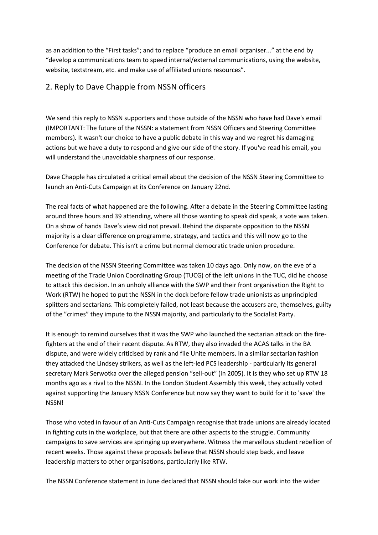as an addition to the "First tasks"; and to replace "produce an email organiser..." at the end by "develop a communications team to speed internal/external communications, using the website, website, textstream, etc. and make use of affiliated unions resources".

## 2. Reply to Dave Chapple from NSSN officers

We send this reply to NSSN supporters and those outside of the NSSN who have had Dave's email (IMPORTANT: The future of the NSSN: a statement from NSSN Officers and Steering Committee members). It wasn't our choice to have a public debate in this way and we regret his damaging actions but we have a duty to respond and give our side of the story. If you've read his email, you will understand the unavoidable sharpness of our response.

Dave Chapple has circulated a critical email about the decision of the NSSN Steering Committee to launch an Anti-Cuts Campaign at its Conference on January 22nd.

The real facts of what happened are the following. After a debate in the Steering Committee lasting around three hours and 39 attending, where all those wanting to speak did speak, a vote was taken. On a show of hands Dave's view did not prevail. Behind the disparate opposition to the NSSN majority is a clear difference on programme, strategy, and tactics and this will now go to the Conference for debate. This isn't a crime but normal democratic trade union procedure.

The decision of the NSSN Steering Committee was taken 10 days ago. Only now, on the eve of a meeting of the Trade Union Coordinating Group (TUCG) of the left unions in the TUC, did he choose to attack this decision. In an unholy alliance with the SWP and their front organisation the Right to Work (RTW) he hoped to put the NSSN in the dock before fellow trade unionists as unprincipled splitters and sectarians. This completely failed, not least because the accusers are, themselves, guilty of the "crimes" they impute to the NSSN majority, and particularly to the Socialist Party.

It is enough to remind ourselves that it was the SWP who launched the sectarian attack on the firefighters at the end of their recent dispute. As RTW, they also invaded the ACAS talks in the BA dispute, and were widely criticised by rank and file Unite members. In a similar sectarian fashion they attacked the Lindsey strikers, as well as the left-led PCS leadership - particularly its general secretary Mark Serwotka over the alleged pension "sell-out" (in 2005). It is they who set up RTW 18 months ago as a rival to the NSSN. In the London Student Assembly this week, they actually voted against supporting the January NSSN Conference but now say they want to build for it to 'save' the NSSN!

Those who voted in favour of an Anti-Cuts Campaign recognise that trade unions are already located in fighting cuts in the workplace, but that there are other aspects to the struggle. Community campaigns to save services are springing up everywhere. Witness the marvellous student rebellion of recent weeks. Those against these proposals believe that NSSN should step back, and leave leadership matters to other organisations, particularly like RTW.

The NSSN Conference statement in June declared that NSSN should take our work into the wider